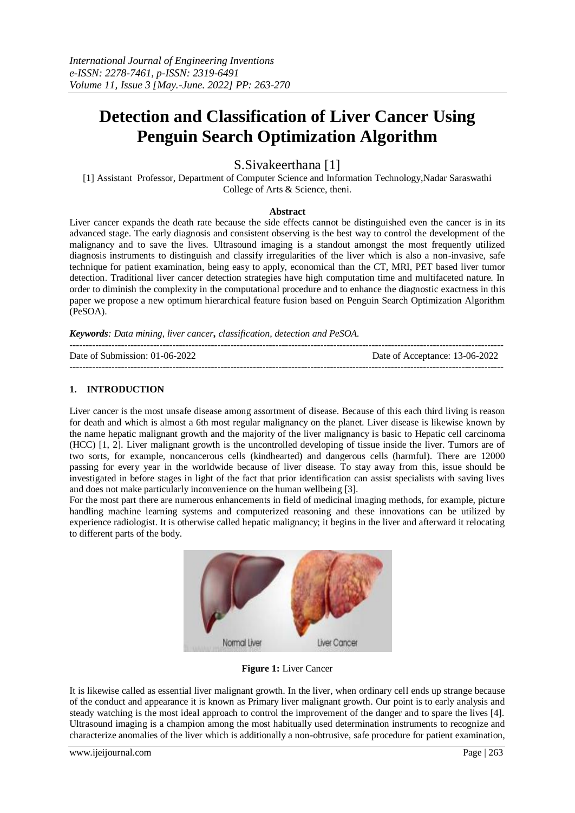# **Detection and Classification of Liver Cancer Using Penguin Search Optimization Algorithm**

S.Sivakeerthana [1]

[1] Assistant Professor, Department of Computer Science and Information Technology,Nadar Saraswathi College of Arts & Science, theni.

#### **Abstract**

Liver cancer expands the death rate because the side effects cannot be distinguished even the cancer is in its advanced stage. The early diagnosis and consistent observing is the best way to control the development of the malignancy and to save the lives. Ultrasound imaging is a standout amongst the most frequently utilized diagnosis instruments to distinguish and classify irregularities of the liver which is also a non-invasive, safe technique for patient examination, being easy to apply, economical than the CT, MRI, PET based liver tumor detection. Traditional liver cancer detection strategies have high computation time and multifaceted nature. In order to diminish the complexity in the computational procedure and to enhance the diagnostic exactness in this paper we propose a new optimum hierarchical feature fusion based on Penguin Search Optimization Algorithm (PeSOA).

*Keywords: Data mining, liver cancer, classification, detection and PeSOA.* 

--------------------------------------------------------------------------------------------------------------------------------------- Date of Submission: 01-06-2022 Date of Acceptance: 13-06-2022

---------------------------------------------------------------------------------------------------------------------------------------

# **1. INTRODUCTION**

Liver cancer is the most unsafe disease among assortment of disease. Because of this each third living is reason for death and which is almost a 6th most regular malignancy on the planet. Liver disease is likewise known by the name hepatic malignant growth and the majority of the liver malignancy is basic to Hepatic cell carcinoma (HCC) [1, 2]. Liver malignant growth is the uncontrolled developing of tissue inside the liver. Tumors are of two sorts, for example, noncancerous cells (kindhearted) and dangerous cells (harmful). There are 12000 passing for every year in the worldwide because of liver disease. To stay away from this, issue should be investigated in before stages in light of the fact that prior identification can assist specialists with saving lives and does not make particularly inconvenience on the human wellbeing [3].

For the most part there are numerous enhancements in field of medicinal imaging methods, for example, picture handling machine learning systems and computerized reasoning and these innovations can be utilized by experience radiologist. It is otherwise called hepatic malignancy; it begins in the liver and afterward it relocating to different parts of the body.



#### **Figure 1:** Liver Cancer

It is likewise called as essential liver malignant growth. In the liver, when ordinary cell ends up strange because of the conduct and appearance it is known as Primary liver malignant growth. Our point is to early analysis and steady watching is the most ideal approach to control the improvement of the danger and to spare the lives [4]. Ultrasound imaging is a champion among the most habitually used determination instruments to recognize and characterize anomalies of the liver which is additionally a non-obtrusive, safe procedure for patient examination,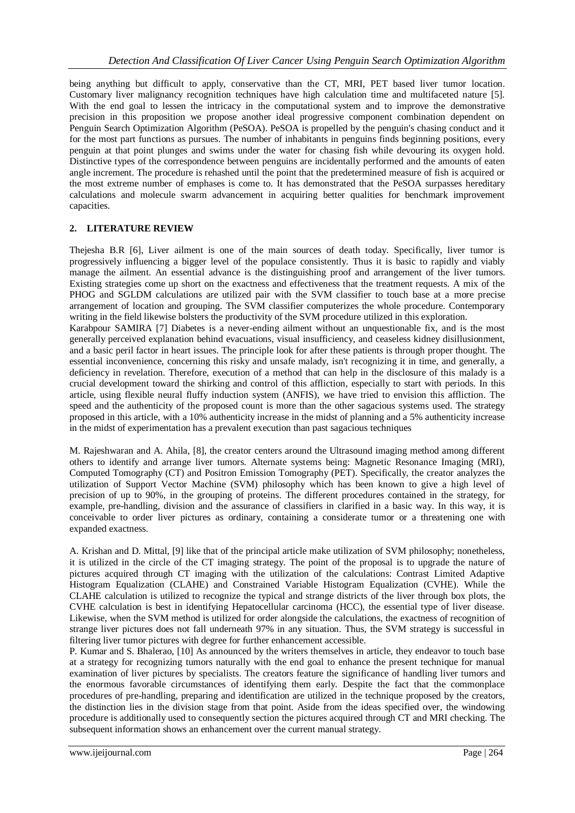being anything but difficult to apply, conservative than the CT, MRI, PET based liver tumor location. Customary liver malignancy recognition techniques have high calculation time and multifaceted nature [5]. With the end goal to lessen the intricacy in the computational system and to improve the demonstrative precision in this proposition we propose another ideal progressive component combination dependent on Penguin Search Optimization Algorithm (PeSOA). PeSOA is propelled by the penguin's chasing conduct and it for the most part functions as pursues. The number of inhabitants in penguins finds beginning positions, every penguin at that point plunges and swims under the water for chasing fish while devouring its oxygen hold. Distinctive types of the correspondence between penguins are incidentally performed and the amounts of eaten angle increment. The procedure is rehashed until the point that the predetermined measure of fish is acquired or the most extreme number of emphases is come to. It has demonstrated that the PeSOA surpasses hereditary calculations and molecule swarm advancement in acquiring better qualities for benchmark improvement capacities.

# **2. LITERATURE REVIEW**

Thejesha B.R [6], Liver ailment is one of the main sources of death today. Specifically, liver tumor is progressively influencing a bigger level of the populace consistently. Thus it is basic to rapidly and viably manage the ailment. An essential advance is the distinguishing proof and arrangement of the liver tumors. Existing strategies come up short on the exactness and effectiveness that the treatment requests. A mix of the PHOG and SGLDM calculations are utilized pair with the SVM classifier to touch base at a more precise arrangement of location and grouping. The SVM classifier computerizes the whole procedure. Contemporary writing in the field likewise bolsters the productivity of the SVM procedure utilized in this exploration. Karabpour SAMIRA [7] Diabetes is a never-ending ailment without an unquestionable fix, and is the most

generally perceived explanation behind evacuations, visual insufficiency, and ceaseless kidney disillusionment, and a basic peril factor in heart issues. The principle look for after these patients is through proper thought. The essential inconvenience, concerning this risky and unsafe malady, isn't recognizing it in time, and generally, a deficiency in revelation. Therefore, execution of a method that can help in the disclosure of this malady is a crucial development toward the shirking and control of this affliction, especially to start with periods. In this article, using flexible neural fluffy induction system (ANFIS), we have tried to envision this affliction. The speed and the authenticity of the proposed count is more than the other sagacious systems used. The strategy proposed in this article, with a 10% authenticity increase in the midst of planning and a 5% authenticity increase in the midst of experimentation has a prevalent execution than past sagacious techniques

M. Rajeshwaran and A. Ahila, [8], the creator centers around the Ultrasound imaging method among different others to identify and arrange liver tumors. Alternate systems being: Magnetic Resonance Imaging (MRI), Computed Tomography (CT) and Positron Emission Tomography (PET). Specifically, the creator analyzes the utilization of Support Vector Machine (SVM) philosophy which has been known to give a high level of precision of up to 90%, in the grouping of proteins. The different procedures contained in the strategy, for example, pre-handling, division and the assurance of classifiers in clarified in a basic way. In this way, it is conceivable to order liver pictures as ordinary, containing a considerate tumor or a threatening one with expanded exactness.

A. Krishan and D. Mittal, [9] like that of the principal article make utilization of SVM philosophy; nonetheless, it is utilized in the circle of the CT imaging strategy. The point of the proposal is to upgrade the nature of pictures acquired through CT imaging with the utilization of the calculations: Contrast Limited Adaptive Histogram Equalization (CLAHE) and Constrained Variable Histogram Equalization (CVHE). While the CLAHE calculation is utilized to recognize the typical and strange districts of the liver through box plots, the CVHE calculation is best in identifying Hepatocellular carcinoma (HCC), the essential type of liver disease. Likewise, when the SVM method is utilized for order alongside the calculations, the exactness of recognition of strange liver pictures does not fall underneath 97% in any situation. Thus, the SVM strategy is successful in filtering liver tumor pictures with degree for further enhancement accessible.

P. Kumar and S. Bhalerao, [10] As announced by the writers themselves in article, they endeavor to touch base at a strategy for recognizing tumors naturally with the end goal to enhance the present technique for manual examination of liver pictures by specialists. The creators feature the significance of handling liver tumors and the enormous favorable circumstances of identifying them early. Despite the fact that the commonplace procedures of pre-handling, preparing and identification are utilized in the technique proposed by the creators, the distinction lies in the division stage from that point. Aside from the ideas specified over, the windowing procedure is additionally used to consequently section the pictures acquired through CT and MRI checking. The subsequent information shows an enhancement over the current manual strategy.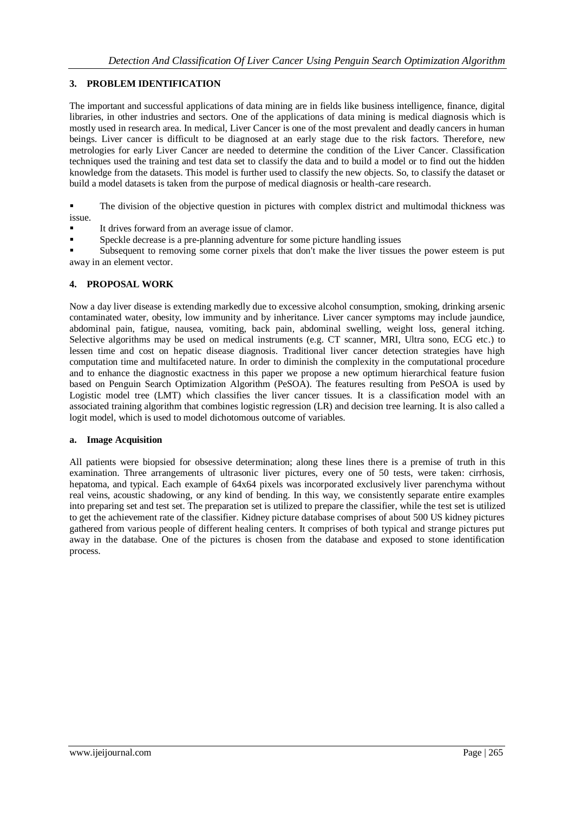# **3. PROBLEM IDENTIFICATION**

The important and successful applications of data mining are in fields like business intelligence, finance, digital libraries, in other industries and sectors. One of the applications of data mining is medical diagnosis which is mostly used in research area. In medical, Liver Cancer is one of the most prevalent and deadly cancers in human beings. Liver cancer is difficult to be diagnosed at an early stage due to the risk factors. Therefore, new metrologies for early Liver Cancer are needed to determine the condition of the Liver Cancer. Classification techniques used the training and test data set to classify the data and to build a model or to find out the hidden knowledge from the datasets. This model is further used to classify the new objects. So, to classify the dataset or build a model datasets is taken from the purpose of medical diagnosis or health-care research.

 The division of the objective question in pictures with complex district and multimodal thickness was issue.

- It drives forward from an average issue of clamor.
- Speckle decrease is a pre-planning adventure for some picture handling issues

 Subsequent to removing some corner pixels that don't make the liver tissues the power esteem is put away in an element vector.

# **4. PROPOSAL WORK**

Now a day liver disease is extending markedly due to excessive alcohol consumption, smoking, drinking arsenic contaminated water, obesity, low immunity and by inheritance. Liver cancer symptoms may include jaundice, abdominal pain, fatigue, nausea, vomiting, back pain, abdominal swelling, weight loss, general itching. Selective algorithms may be used on medical instruments (e.g. CT scanner, MRI, Ultra sono, ECG etc.) to lessen time and cost on hepatic disease diagnosis. Traditional liver cancer detection strategies have high computation time and multifaceted nature. In order to diminish the complexity in the computational procedure and to enhance the diagnostic exactness in this paper we propose a new optimum hierarchical feature fusion based on Penguin Search Optimization Algorithm (PeSOA). The features resulting from PeSOA is used by Logistic model tree (LMT) which classifies the liver cancer tissues. It is a classification model with an associated training algorithm that combines logistic regression (LR) and decision tree learning. It is also called a logit model, which is used to model dichotomous outcome of variables.

#### **a. Image Acquisition**

All patients were biopsied for obsessive determination; along these lines there is a premise of truth in this examination. Three arrangements of ultrasonic liver pictures, every one of 50 tests, were taken: cirrhosis, hepatoma, and typical. Each example of 64x64 pixels was incorporated exclusively liver parenchyma without real veins, acoustic shadowing, or any kind of bending. In this way, we consistently separate entire examples into preparing set and test set. The preparation set is utilized to prepare the classifier, while the test set is utilized to get the achievement rate of the classifier. Kidney picture database comprises of about 500 US kidney pictures gathered from various people of different healing centers. It comprises of both typical and strange pictures put away in the database. One of the pictures is chosen from the database and exposed to stone identification process.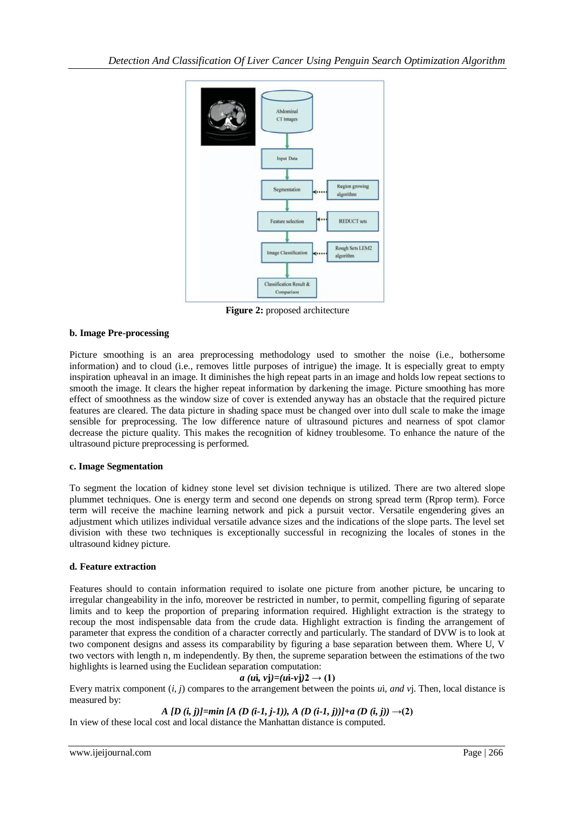

**Figure 2:** proposed architecture

# **b. Image Pre-processing**

Picture smoothing is an area preprocessing methodology used to smother the noise (i.e., bothersome information) and to cloud (i.e., removes little purposes of intrigue) the image. It is especially great to empty inspiration upheaval in an image. It diminishes the high repeat parts in an image and holds low repeat sections to smooth the image. It clears the higher repeat information by darkening the image. Picture smoothing has more effect of smoothness as the window size of cover is extended anyway has an obstacle that the required picture features are cleared. The data picture in shading space must be changed over into dull scale to make the image sensible for preprocessing. The low difference nature of ultrasound pictures and nearness of spot clamor decrease the picture quality. This makes the recognition of kidney troublesome. To enhance the nature of the ultrasound picture preprocessing is performed.

#### **c. Image Segmentation**

To segment the location of kidney stone level set division technique is utilized. There are two altered slope plummet techniques. One is energy term and second one depends on strong spread term (Rprop term). Force term will receive the machine learning network and pick a pursuit vector. Versatile engendering gives an adjustment which utilizes individual versatile advance sizes and the indications of the slope parts. The level set division with these two techniques is exceptionally successful in recognizing the locales of stones in the ultrasound kidney picture.

#### **d. Feature extraction**

Features should to contain information required to isolate one picture from another picture, be uncaring to irregular changeability in the info, moreover be restricted in number, to permit, compelling figuring of separate limits and to keep the proportion of preparing information required. Highlight extraction is the strategy to recoup the most indispensable data from the crude data. Highlight extraction is finding the arrangement of parameter that express the condition of a character correctly and particularly. The standard of DVW is to look at two component designs and assess its comparability by figuring a base separation between them. Where U, V two vectors with length n, m independently. By then, the supreme separation between the estimations of the two highlights is learned using the Euclidean separation computation:

# $a (ui, v<sub>i</sub>) = (ui - v<sub>i</sub>)2 \rightarrow (1)$

Every matrix component (*i, j*) compares to the arrangement between the points *u*i*, and v*j. Then, local distance is measured by:

*A* [D (i, j)]=min [A (D (i-1, j-1)), A (D (i-1, j))]+a (D (i, j))  $\rightarrow$  (2)

In view of these local cost and local distance the Manhattan distance is computed.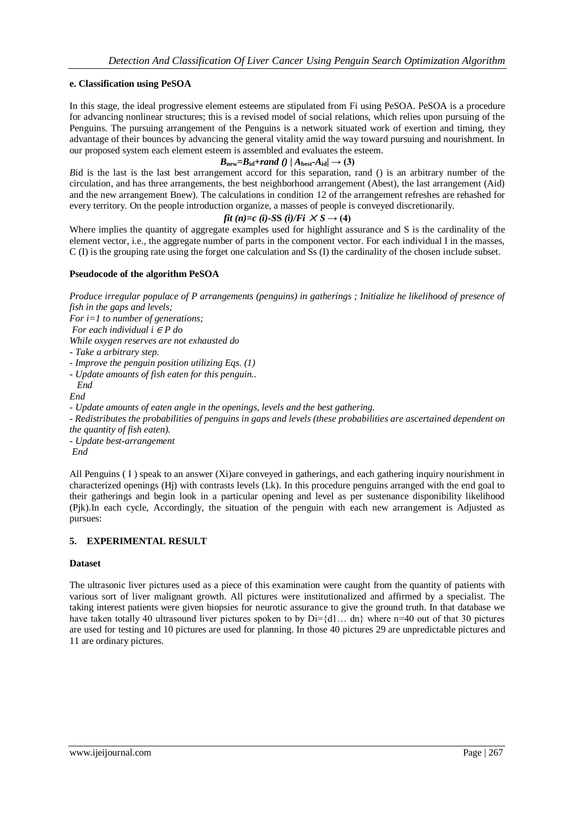# **e. Classification using PeSOA**

In this stage, the ideal progressive element esteems are stipulated from Fi using PeSOA. PeSOA is a procedure for advancing nonlinear structures; this is a revised model of social relations, which relies upon pursuing of the Penguins. The pursuing arrangement of the Penguins is a network situated work of exertion and timing, they advantage of their bounces by advancing the general vitality amid the way toward pursuing and nourishment. In our proposed system each element esteem is assembled and evaluates the esteem.

# $B_{\text{new}} = B_{\text{id}} + rand$  ()  $A_{\text{best}} \cdot A_{\text{id}} \rightarrow$  (3)

*B*id is the last is the last best arrangement accord for this separation, rand () is an arbitrary number of the circulation, and has three arrangements, the best neighborhood arrangement (Abest), the last arrangement (Aid) and the new arrangement Bnew). The calculations in condition 12 of the arrangement refreshes are rehashed for every territory. On the people introduction organize, a masses of people is conveyed discretionarily.

# *fit* (*n*)=*c* (*i*)-*SS* (*i*)/*Fi*  $\times S \rightarrow (4)$

Where implies the quantity of aggregate examples used for highlight assurance and S is the cardinality of the element vector, i.e., the aggregate number of parts in the component vector. For each individual I in the masses, C (I) is the grouping rate using the forget one calculation and Ss (I) the cardinality of the chosen include subset.

# **Pseudocode of the algorithm PeSOA**

*Produce irregular populace of P arrangements (penguins) in gatherings ; Initialize he likelihood of presence of fish in the gaps and levels;* 

- *For i=1 to number of generations;*
- *For each individual i ∈ P do*
- *While oxygen reserves are not exhausted do*

*- Take a arbitrary step.* 

- *- Improve the penguin position utilizing Eqs. (1)*
- *- Update amounts of fish eaten for this penguin..*

 *End End* 

*- Update amounts of eaten angle in the openings, levels and the best gathering.* 

*- Redistributes the probabilities of penguins in gaps and levels (these probabilities are ascertained dependent on the quantity of fish eaten).* 

*- Update best-arrangement End*

All Penguins (I) speak to an answer (Xi)are conveyed in gatherings, and each gathering inquiry nourishment in characterized openings (Hj) with contrasts levels (Lk). In this procedure penguins arranged with the end goal to their gatherings and begin look in a particular opening and level as per sustenance disponibility likelihood (Pjk).In each cycle, Accordingly, the situation of the penguin with each new arrangement is Adjusted as pursues:

#### **5. EXPERIMENTAL RESULT**

#### **Dataset**

The ultrasonic liver pictures used as a piece of this examination were caught from the quantity of patients with various sort of liver malignant growth. All pictures were institutionalized and affirmed by a specialist. The taking interest patients were given biopsies for neurotic assurance to give the ground truth. In that database we have taken totally 40 ultrasound liver pictures spoken to by  $Di=\{d1...$  dn} where n=40 out of that 30 pictures are used for testing and 10 pictures are used for planning. In those 40 pictures 29 are unpredictable pictures and 11 are ordinary pictures.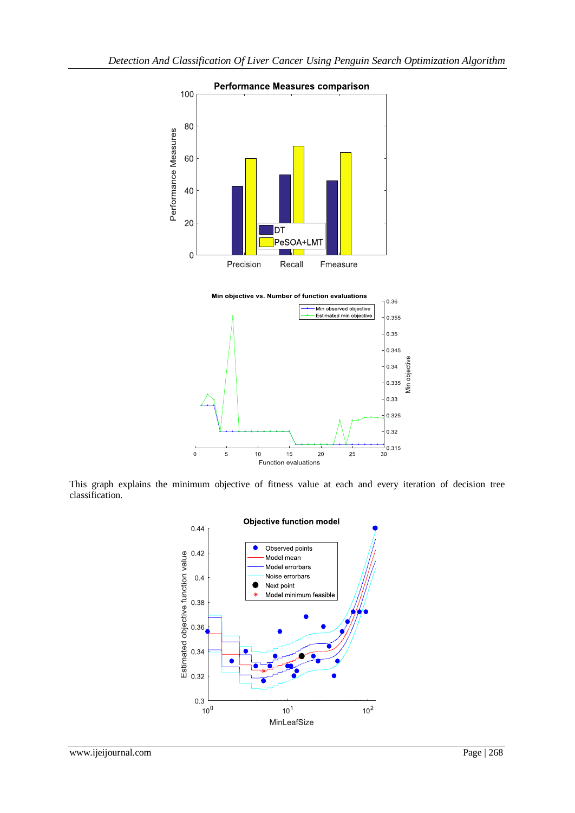

This graph explains the minimum objective of fitness value at each and every iteration of decision tree classification.

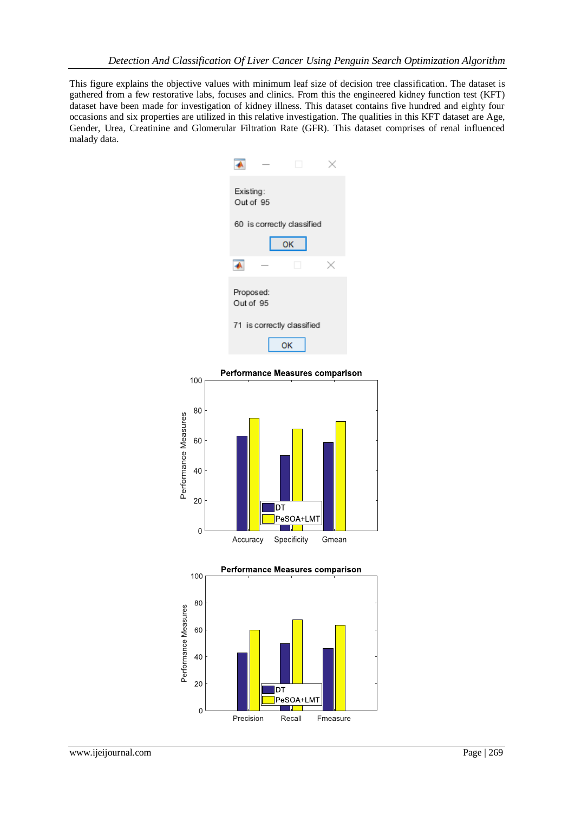This figure explains the objective values with minimum leaf size of decision tree classification. The dataset is gathered from a few restorative labs, focuses and clinics. From this the engineered kidney function test (KFT) dataset have been made for investigation of kidney illness. This dataset contains five hundred and eighty four occasions and six properties are utilized in this relative investigation. The qualities in this KFT dataset are Age, Gender, Urea, Creatinine and Glomerular Filtration Rate (GFR). This dataset comprises of renal influenced malady data.